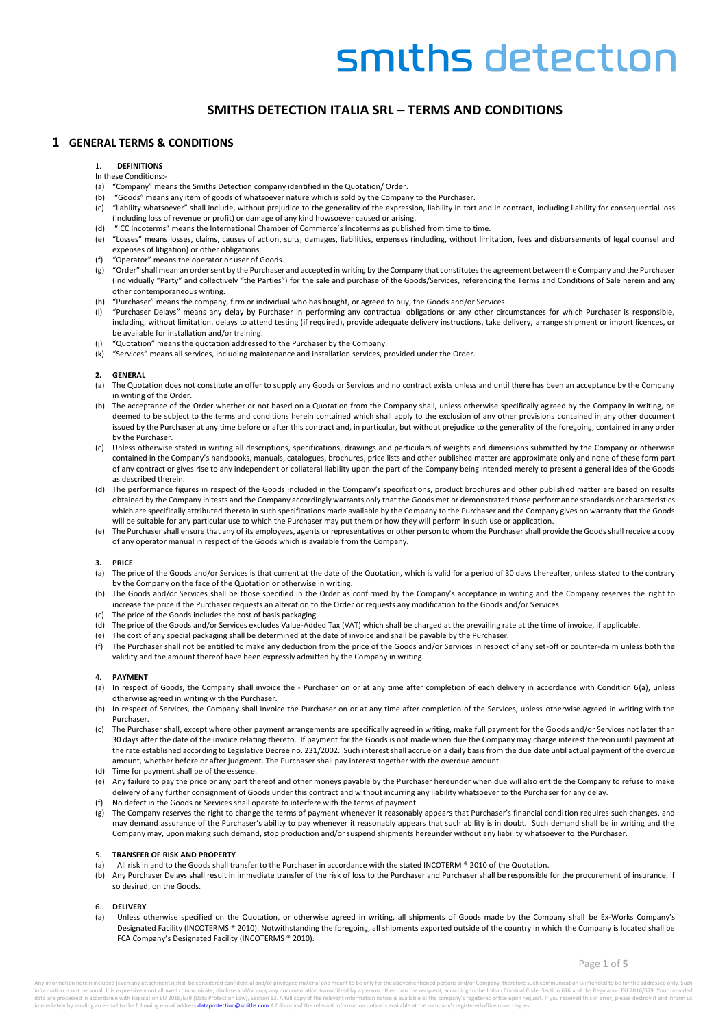# **SMITHS DETECTION ITALIA SRL – TERMS AND CONDITIONS**

# **1 GENERAL TERMS & CONDITIONS**

# 1. **DEFINITIONS**

- In these Conditions:-
- (a) "Company" means the Smiths Detection company identified in the Quotation/ Order.
- (b) "Goods" means any item of goods of whatsoever nature which is sold by the Company to the Purchaser.
- (c) "liability whatsoever" shall include, without prejudice to the generality of the expression, liability in tort and in contract, including liability for consequential loss (including loss of revenue or profit) or damage of any kind howsoever caused or arising.
	- "ICC Incoterms" means the International Chamber of Commerce's Incoterms as published from time to time.
- (e) "Losses" means losses, claims, causes of action, suits, damages, liabilities, expenses (including, without limitation, fees and disbursements of legal counsel and expenses of litigation) or other obligations.
- "Operator" means the operator or user of Goods.
- (g) "Order" shall mean an order sent by the Purchaser and accepted in writing by the Company that constitutes the agreement between the Company and the Purchaser (individually "Party" and collectively "the Parties") for the sale and purchase of the Goods/Services, referencing the Terms and Conditions of Sale herein and any other contemporaneous writing.
- (h) "Purchaser" means the company, firm or individual who has bought, or agreed to buy, the Goods and/or Services.
- "Purchaser Delays" means any delay by Purchaser in performing any contractual obligations or any other circumstances for which Purchaser is responsible, including, without limitation, delays to attend testing (if required), provide adequate delivery instructions, take delivery, arrange shipment or import licences, or be available for installation and/or training.
- (j) "Quotation" means the quotation addressed to the Purchaser by the Company.
- (k) "Services" means all services, including maintenance and installation services, provided under the Order.

#### **2. GENERAL**

- (a) The Quotation does not constitute an offer to supply any Goods or Services and no contract exists unless and until there has been an acceptance by the Company in writing of the Order.
- (b) The acceptance of the Order whether or not based on a Quotation from the Company shall, unless otherwise specifically agreed by the Company in writing, be deemed to be subject to the terms and conditions herein contained which shall apply to the exclusion of any other provisions contained in any other document issued by the Purchaser at any time before or after this contract and, in particular, but without prejudice to the generality of the foregoing, contained in any order by the Purchaser.
- (c) Unless otherwise stated in writing all descriptions, specifications, drawings and particulars of weights and dimensions submitted by the Company or otherwise contained in the Company's handbooks, manuals, catalogues, brochures, price lists and other published matter are approximate only and none of these form part of any contract or gives rise to any independent or collateral liability upon the part of the Company being intended merely to present a general idea of the Goods as described therein.
- (d) The performance figures in respect of the Goods included in the Company's specifications, product brochures and other published matter are based on results obtained by the Company in tests and the Company accordingly warrants only that the Goods met or demonstrated those performance standards or characteristics which are specifically attributed thereto in such specifications made available by the Company to the Purchaser and the Company gives no warranty that the Goods will be suitable for any particular use to which the Purchaser may put them or how they will perform in such use or application.
- (e) The Purchaser shall ensure that any of its employees, agents or representatives or other person to whom the Purchaser shall provide the Goods shall receive a copy of any operator manual in respect of the Goods which is available from the Company.

#### **3. PRICE**

- (a) The price of the Goods and/or Services is that current at the date of the Quotation, which is valid for a period of 30 days thereafter, unless stated to the contrary by the Company on the face of the Quotation or otherwise in writing.
- (b) The Goods and/or Services shall be those specified in the Order as confirmed by the Company's acceptance in writing and the Company reserves the right to increase the price if the Purchaser requests an alteration to the Order or requests any modification to the Goods and/or Services.
- The price of the Goods includes the cost of basis packaging.
- (d) The price of the Goods and/or Services excludes Value-Added Tax (VAT) which shall be charged at the prevailing rate at the time of invoice, if applicable.
- (e) The cost of any special packaging shall be determined at the date of invoice and shall be payable by the Purchaser.
- (f) The Purchaser shall not be entitled to make any deduction from the price of the Goods and/or Services in respect of any set-off or counter-claim unless both the validity and the amount thereof have been expressly admitted by the Company in writing.

#### 4. **PAYMENT**

- (a) In respect of Goods, the Company shall invoice the Purchaser on or at any time after completion of each delivery in accordance with Condition [6\(a\),](#page-0-0) unless otherwise agreed in writing with the Purchaser.
- (b) In respect of Services, the Company shall invoice the Purchaser on or at any time after completion of the Services, unless otherwise agreed in writing with the Purchaser.
- (c) The Purchaser shall, except where other payment arrangements are specifically agreed in writing, make full payment for the Goods and/or Services not later than 30 days after the date of the invoice relating thereto. If payment for the Goods is not made when due the Company may charge interest thereon until payment at the rate established according to Legislative Decree no. 231/2002. Such interest shall accrue on a daily basis from the due date until actual payment of the overdue amount, whether before or after judgment. The Purchaser shall pay interest together with the overdue amount.
- (d) Time for payment shall be of the essence.
- (e) Any failure to pay the price or any part thereof and other moneys payable by the Purchaser hereunder when due will also entitle the Company to refuse to make delivery of any further consignment of Goods under this contract and without incurring any liability whatsoever to the Purchaser for any delay.
- (f) No defect in the Goods or Services shall operate to interfere with the terms of payment.
- (g) The Company reserves the right to change the terms of payment whenever it reasonably appears that Purchaser's financial condition requires such changes, and may demand assurance of the Purchaser's ability to pay whenever it reasonably appears that such ability is in doubt. Such demand shall be in writing and the Company may, upon making such demand, stop production and/or suspend shipments hereunder without any liability whatsoever to the Purchaser.

### 5. **TRANSFER OF RISK AND PROPERTY**

- (a) All risk in and to the Goods shall transfer to the Purchaser in accordance with the stated INCOTERM ® 2010 of the Quotation.
- (b) Any Purchaser Delays shall result in immediate transfer of the risk of loss to the Purchaser and Purchaser shall be responsible for the procurement of insurance, if so desired, on the Goods.

#### 6. **DELIVERY**

<span id="page-0-0"></span>(a) Unless otherwise specified on the Quotation, or otherwise agreed in writing, all shipments of Goods made by the Company shall be Ex-Works Company's Designated Facility (INCOTERMS ® 2010). Notwithstanding the foregoing, all shipments exported outside of the country in which the Company is located shall be FCA Company's Designated Facility (INCOTERMS ® 2010).

use the channel chall be considered confidential and les privileged material and meant to be enhancementioned persons and les Company therefore such communication is intended to be for the address information is not personal. It is expressively not allowed communicate, disclose and/or copy any documentation transmitted by a person other than the recipient, according to the Italian Criminal Code, Section 616 and the .<br>In the by sending an e-mail to the following e-mail address **dataprotection@smiths.com**.A full copy of the relevant information notice is available at the company's registered office upon request.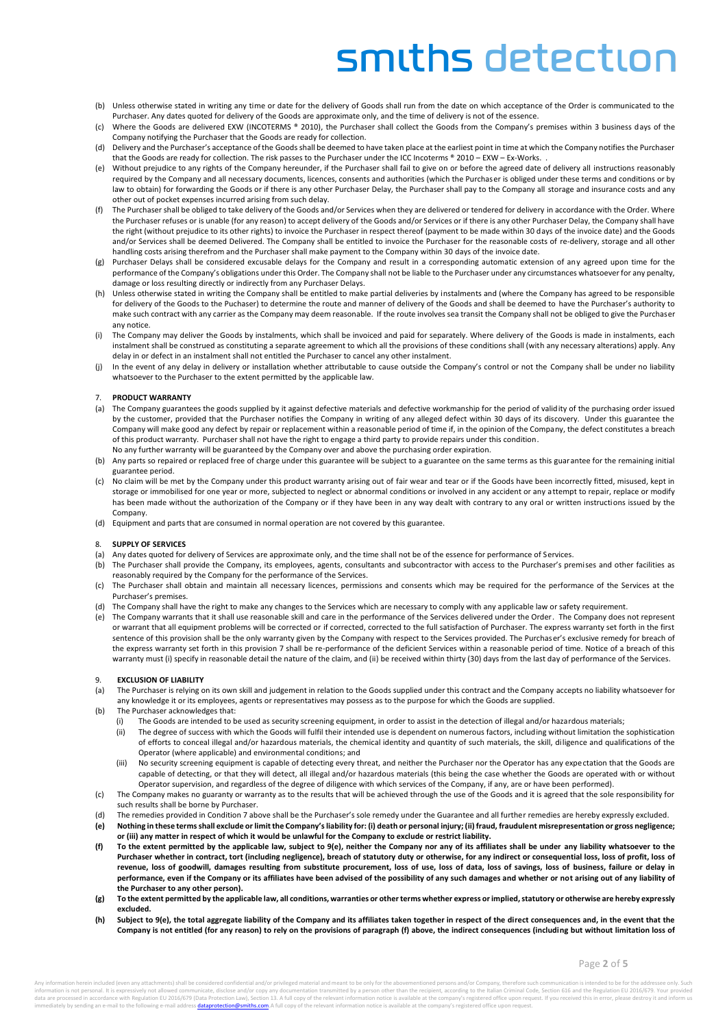- (b) Unless otherwise stated in writing any time or date for the delivery of Goods shall run from the date on which acceptance of the Order is communicated to the Purchaser. Any dates quoted for delivery of the Goods are approximate only, and the time of delivery is not of the essence.
- (c) Where the Goods are delivered EXW (INCOTERMS ® 2010), the Purchaser shall collect the Goods from the Company's premises within 3 business days of the Company notifying the Purchaser that the Goods are ready for collection.
- (d) Delivery and the Purchaser's acceptance of the Goods shall be deemed to have taken place at the earliest point in time at which the Company notifies the Purchaser that the Goods are ready for collection. The risk passes to the Purchaser under the ICC Incoterms ® 2010 – EXW – Ex-Works.
- (e) Without prejudice to any rights of the Company hereunder, if the Purchaser shall fail to give on or before the agreed date of delivery all instructions reasonably required by the Company and all necessary documents, licences, consents and authorities (which the Purchaser is obliged under these terms and conditions or by law to obtain) for forwarding the Goods or if there is any other Purchaser Delay, the Purchaser shall pay to the Company all storage and insurance costs and any other out of pocket expenses incurred arising from such delay.
- The Purchaser shall be obliged to take delivery of the Goods and/or Services when they are delivered or tendered for delivery in accordance with the Order. Where the Purchaser refuses or is unable (for any reason) to accept delivery of the Goods and/or Services or if there is any other Purchaser Delay, the Company shall have the right (without prejudice to its other rights) to invoice the Purchaser in respect thereof (payment to be made within 30 days of the invoice date) and the Goods and/or Services shall be deemed Delivered. The Company shall be entitled to invoice the Purchaser for the reasonable costs of re-delivery, storage and all other handling costs arising therefrom and the Purchaser shall make payment to the Company within 30 days of the invoice date.
- (g) Purchaser Delays shall be considered excusable delays for the Company and result in a corresponding automatic extension of any agreed upon time for the performance of the Company's obligations under this Order. The Company shall not be liable to the Purchaser under any circumstances whatsoever for any penalty, damage or loss resulting directly or indirectly from any Purchaser Delays.
- Unless otherwise stated in writing the Company shall be entitled to make partial deliveries by instalments and (where the Company has agreed to be responsible for delivery of the Goods to the Puchaser) to determine the route and manner of delivery of the Goods and shall be deemed to have the Purchaser's authority to make such contract with any carrier as the Company may deem reasonable. If the route involves sea transit the Company shall not be obliged to give the Purchaser any notice.
- The Company may deliver the Goods by instalments, which shall be invoiced and paid for separately. Where delivery of the Goods is made in instalments, each instalment shall be construed as constituting a separate agreement to which all the provisions of these conditions shall (with any necessary alterations) apply. Any delay in or defect in an instalment shall not entitled the Purchaser to cancel any other instalment.
- (j) In the event of any delay in delivery or installation whether attributable to cause outside the Company's control or not the Company shall be under no liability whatsoever to the Purchaser to the extent permitted by the applicable law.

# 7. **PRODUCT WARRANTY**

- (a) The Company guarantees the goods supplied by it against defective materials and defective workmanship for the period of validity of the purchasing order issued by the customer, provided that the Purchaser notifies the Company in writing of any alleged defect within 30 days of its discovery. Under this guarantee the Company will make good any defect by repair or replacement within a reasonable period of time if, in the opinion of the Company, the defect constitutes a breach of this product warranty. Purchaser shall not have the right to engage a third party to provide repairs under this condition.
- No any further warranty will be guaranteed by the Company over and above the purchasing order expiration.
- (b) Any parts so repaired or replaced free of charge under this guarantee will be subject to a guarantee on the same terms as this guarantee for the remaining initial guarantee period.
- (c) No claim will be met by the Company under this product warranty arising out of fair wear and tear or if the Goods have been incorrectly fitted, misused, kept in storage or immobilised for one year or more, subjected to neglect or abnormal conditions or involved in any accident or any attempt to repair, replace or modify has been made without the authorization of the Company or if they have been in any way dealt with contrary to any oral or written instructions issued by the Company.
- (d) Equipment and parts that are consumed in normal operation are not covered by this guarantee.

### 8. **SUPPLY OF SERVICES**

- (a) Any dates quoted for delivery of Services are approximate only, and the time shall not be of the essence for performance of Services.
- (b) The Purchaser shall provide the Company, its employees, agents, consultants and subcontractor with access to the Purchaser's premises and other facilities as reasonably required by the Company for the performance of the Services.
- (c) The Purchaser shall obtain and maintain all necessary licences, permissions and consents which may be required for the performance of the Services at the Purchaser's premises.
- (d) The Company shall have the right to make any changes to the Services which are necessary to comply with any applicable law or safety requirement.
- (e) The Company warrants that it shall use reasonable skill and care in the performance of the Services delivered under the Order. The Company does not represent or warrant that all equipment problems will be corrected or if corrected, corrected to the full satisfaction of Purchaser. The express warranty set forth in the first sentence of this provision shall be the only warranty given by the Company with respect to the Services provided. The Purchaser's exclusive remedy for breach of the express warranty set forth in this provision 7 shall be re-performance of the deficient Services within a reasonable period of time. Notice of a breach of this warranty must (i) specify in reasonable detail the nature of the claim, and (ii) be received within thirty (30) days from the last day of performance of the Services.

### 9. **EXCLUSION OF LIABILITY**

- (a) The Purchaser is relying on its own skill and judgement in relation to the Goods supplied under this contract and the Company accepts no liability whatsoever for any knowledge it or its employees, agents or representatives may possess as to the purpose for which the Goods are supplied.
- (b) The Purchaser acknowledges that:
	- (i) The Goods are intended to be used as security screening equipment, in order to assist in the detection of illegal and/or hazardous materials;
		- (ii) The degree of success with which the Goods will fulfil their intended use is dependent on numerous factors, including without limitation the sophistication of efforts to conceal illegal and/or hazardous materials, the chemical identity and quantity of such materials, the skill, diligence and qualifications of the Operator (where applicable) and environmental conditions; and
	- (iii) No security screening equipment is capable of detecting every threat, and neither the Purchaser nor the Operator has any expectation that the Goods are capable of detecting, or that they will detect, all illegal and/or hazardous materials (this being the case whether the Goods are operated with or without Operator supervision, and regardless of the degree of diligence with which services of the Company, if any, are or have been performed).
- (c) The Company makes no guaranty or warranty as to the results that will be achieved through the use of the Goods and it is agreed that the sole responsibility for such results shall be borne by Purchaser.
- (d) The remedies provided in Condition 7 above shall be the Purchaser's sole remedy under the Guarantee and all further remedies are hereby expressly excluded.
- **(e) Nothing in these terms shall exclude or limit the Company's liability for: (i) death or personal injury; (ii) fraud, fraudulent misrepresentation or gross negligence; or (iii) any matter in respect of which it would be unlawful for the Company to exclude or restrict liability.**
- **(f) To the extent permitted by the applicable law, subject to 9(e), neither the Company nor any of its affiliates shall be under any liability whatsoever to the Purchaser whether in contract, tort (including negligence), breach of statutory duty or otherwise, for any indirect or consequential loss, loss of profit, loss of revenue, loss of goodwill, damages resulting from substitute procurement, loss of use, loss of data, loss of savings, loss of business, failure or delay in performance, even if the Company or its affiliates have been advised of the possibility of any such damages and whether or not arising out of any liability of the Purchaser to any other person).**
- **(g) To the extent permitted by the applicable law, all conditions, warranties or other terms whether express or implied, statutory or otherwise are hereby expressly excluded.**
- **(h) Subject to 9(e), the total aggregate liability of the Company and its affiliates taken together in respect of the direct consequences and, in the event that the Company is not entitled (for any reason) to rely on the provisions of paragraph (f) above, the indirect consequences (including but without limitation loss of**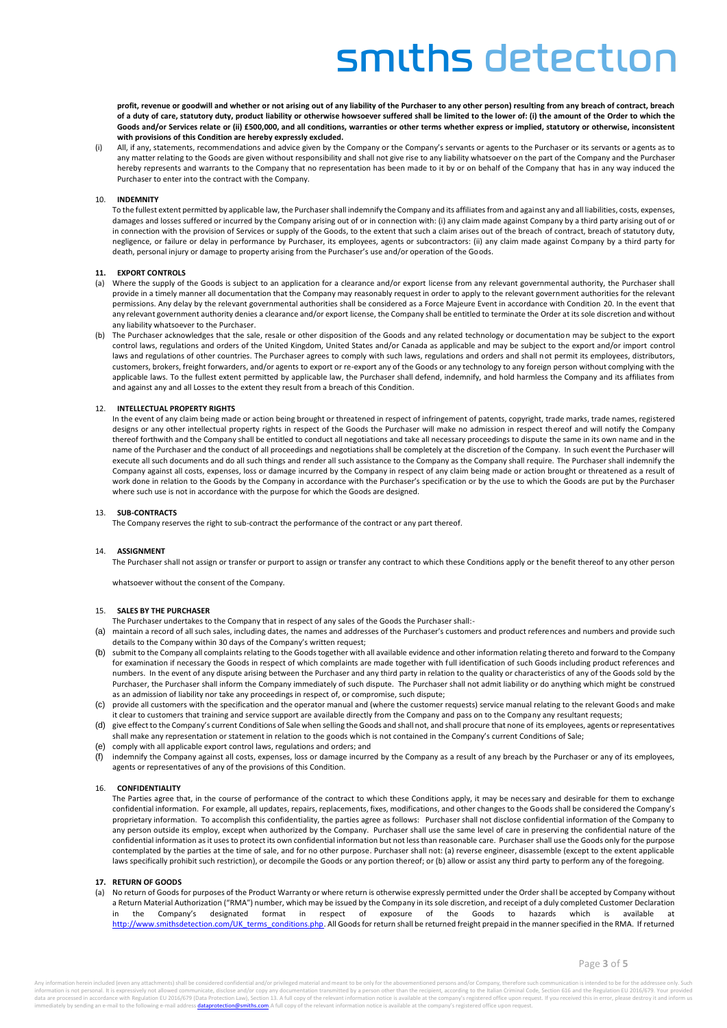**profit, revenue or goodwill and whether or not arising out of any liability of the Purchaser to any other person) resulting from any breach of contract, breach of a duty of care, statutory duty, product liability or otherwise howsoever suffered shall be limited to the lower of: (i) the amount of the Order to which the Goods and/or Services relate or (ii) £500,000, and all conditions, warranties or other terms whether express or implied, statutory or otherwise, inconsistent with provisions of this Condition are hereby expressly excluded.**

All, if any, statements, recommendations and advice given by the Company or the Company's servants or agents as to the Purchaser or its servants or agents as to any matter relating to the Goods are given without responsibility and shall not give rise to any liability whatsoever on the part of the Company and the Purchaser hereby represents and warrants to the Company that no representation has been made to it by or on behalf of the Company that has in any way induced the Purchaser to enter into the contract with the Company.

#### 10. **INDEMNITY**

To the fullest extent permitted by applicable law, the Purchaser shall indemnify the Company and its affiliates from and against any and all liabilities, costs, expenses, damages and losses suffered or incurred by the Company arising out of or in connection with: (i) any claim made against Company by a third party arising out of or in connection with the provision of Services or supply of the Goods, to the extent that such a claim arises out of the breach of contract, breach of statutory duty, negligence, or failure or delay in performance by Purchaser, its employees, agents or subcontractors: (ii) any claim made against Company by a third party for death, personal injury or damage to property arising from the Purchaser's use and/or operation of the Goods.

#### **11. EXPORT CONTROLS**

- (a) Where the supply of the Goods is subject to an application for a clearance and/or export license from any relevant governmental authority, the Purchaser shall provide in a timely manner all documentation that the Company may reasonably request in order to apply to the relevant government authorities for the relevant permissions. Any delay by the relevant governmental authorities shall be considered as a Force Majeure Event in accordance with Condition 20. In the event that any relevant government authority denies a clearance and/or export license, the Company shall be entitled to terminate the Order at its sole discretion and without any liability whatsoever to the Purchaser.
- The Purchaser acknowledges that the sale, resale or other disposition of the Goods and any related technology or documentation may be subject to the export control laws, regulations and orders of the United Kingdom, United States and/or Canada as applicable and may be subject to the export and/or import control laws and regulations of other countries. The Purchaser agrees to comply with such laws, regulations and orders and shall not permit its employees, distributors, customers, brokers, freight forwarders, and/or agents to export or re-export any of the Goods or any technology to any foreign person without complying with the applicable laws. To the fullest extent permitted by applicable law, the Purchaser shall defend, indemnify, and hold harmless the Company and its affiliates from and against any and all Losses to the extent they result from a breach of this Condition.

# 12. **INTELLECTUAL PROPERTY RIGHTS**

In the event of any claim being made or action being brought or threatened in respect of infringement of patents, copyright, trade marks, trade names, registered designs or any other intellectual property rights in respect of the Goods the Purchaser will make no admission in respect thereof and will notify the Company thereof forthwith and the Company shall be entitled to conduct all negotiations and take all necessary proceedings to dispute the same in its own name and in the name of the Purchaser and the conduct of all proceedings and negotiations shall be completely at the discretion of the Company. In such event the Purchaser will execute all such documents and do all such things and render all such assistance to the Company as the Company shall require. The Purchaser shall indemnify the Company against all costs, expenses, loss or damage incurred by the Company in respect of any claim being made or action brought or threatened as a result of work done in relation to the Goods by the Company in accordance with the Purchaser's specification or by the use to which the Goods are put by the Purchaser where such use is not in accordance with the purpose for which the Goods are designed.

#### 13. **SUB-CONTRACTS**

The Company reserves the right to sub-contract the performance of the contract or any part thereof.

# 14. **ASSIGNMENT**

The Purchaser shall not assign or transfer or purport to assign or transfer any contract to which these Conditions apply or the benefit thereof to any other person

whatsoever without the consent of the Company.

# 15. **SALES BY THE PURCHASER**

- The Purchaser undertakes to the Company that in respect of any sales of the Goods the Purchaser shall:-
- (a) maintain a record of all such sales, including dates, the names and addresses of the Purchaser's customers and product references and numbers and provide such details to the Company within 30 days of the Company's written request;
- (b) submit to the Company all complaints relating to the Goods together with all available evidence and other information relating thereto and forward to the Company for examination if necessary the Goods in respect of which complaints are made together with full identification of such Goods including product references and numbers. In the event of any dispute arising between the Purchaser and any third party in relation to the quality or characteristics of any of the Goods sold by the Purchaser, the Purchaser shall inform the Company immediately of such dispute. The Purchaser shall not admit liability or do anything which might be construed as an admission of liability nor take any proceedings in respect of, or compromise, such dispute;
- (c) provide all customers with the specification and the operator manual and (where the customer requests) service manual relating to the relevant Goods and make it clear to customers that training and service support are available directly from the Company and pass on to the Company any resultant requests;
- (d) give effect to the Company's current Conditions of Sale when selling the Goods and shall not, and shall procure that none of its employees, agents or representatives shall make any representation or statement in relation to the goods which is not contained in the Company's current Conditions of Sale;
- (e) comply with all applicable export control laws, regulations and orders; and
- indemnify the Company against all costs, expenses, loss or damage incurred by the Company as a result of any breach by the Purchaser or any of its employees, agents or representatives of any of the provisions of this Condition.

#### 16. **CONFIDENTIALITY**

The Parties agree that, in the course of performance of the contract to which these Conditions apply, it may be necessary and desirable for them to exchange confidential information. For example, all updates, repairs, replacements, fixes, modifications, and other changes to the Goods shall be considered the Company's proprietary information. To accomplish this confidentiality, the parties agree as follows: Purchaser shall not disclose confidential information of the Company to any person outside its employ, except when authorized by the Company. Purchaser shall use the same level of care in preserving the confidential nature of the confidential information as it uses to protect its own confidential information but not less than reasonable care. Purchaser shall use the Goods only for the purpose contemplated by the parties at the time of sale, and for no other purpose. Purchaser shall not: (a) reverse engineer, disassemble (except to the extent applicable laws specifically prohibit such restriction), or decompile the Goods or any portion thereof; or (b) allow or assist any third party to perform any of the foregoing.

#### **17. RETURN OF GOODS**

(a) No return of Goods for purposes of the Product Warranty or where return is otherwise expressly permitted under the Order shall be accepted by Company without a Return Material Authorization ("RMA") number, which may be issued by the Company in its sole discretion, and receipt of a duly completed Customer Declaration<br>in the Company's designated format in respect of exposure of t in the Company's designated format in respect of exposure of the Goods to hazards which is [http://www.smithsdetection.com/UK\\_terms\\_conditions.php.](http://www.smithsdetection.com/UK_terms_conditions.php) All Goods for return shall be returned freight prepaid in the manner specified in the RMA. If returned

ontel chall he considered confidential and les privileged material and meant to be easile for the abovementioned persons and les Company therefore such compunication is intended to be for the address information is not personal. It is expressively not allowed communicate, disclose and/or copy any documentation transmitted by a person other than the recipient, according to the Italian Criminal Code, Section 616 and the imately by sending an e-mail to the following e-mail address **dataprotection@smiths.com**.A full copy of the relevant information notice is available at the company's registered office upon request.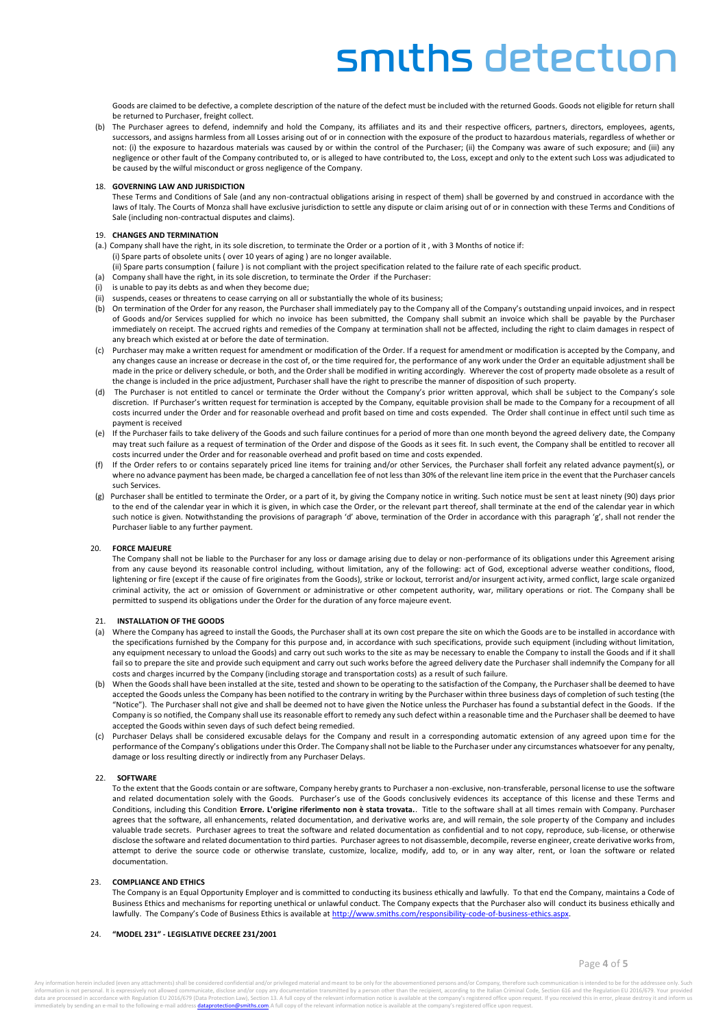Goods are claimed to be defective, a complete description of the nature of the defect must be included with the returned Goods. Goods not eligible for return shall be returned to Purchaser, freight collect.

(b) The Purchaser agrees to defend, indemnify and hold the Company, its affiliates and its and their respective officers, partners, directors, employees, agents, successors, and assigns harmless from all Losses arising out of or in connection with the exposure of the product to hazardous materials, regardless of whether or not: (i) the exposure to hazardous materials was caused by or within the control of the Purchaser; (ii) the Company was aware of such exposure; and (iii) any negligence or other fault of the Company contributed to, or is alleged to have contributed to, the Loss, except and only to the extent such Loss was adjudicated to be caused by the wilful misconduct or gross negligence of the Company.

### 18. **GOVERNING LAW AND JURISDICTION**

These Terms and Conditions of Sale (and any non-contractual obligations arising in respect of them) shall be governed by and construed in accordance with the laws of Italy. The Courts of Monza shall have exclusive jurisdiction to settle any dispute or claim arising out of or in connection with these Terms and Conditions of Sale (including non-contractual disputes and claims).

# 19. **CHANGES AND TERMINATION**

- (a.) Company shall have the right, in its sole discretion, to terminate the Order or a portion of it , with 3 Months of notice if: (i) Spare parts of obsolete units ( over 10 years of aging ) are no longer available.
	- (ii) Spare parts consumption ( failure ) is not compliant with the project specification related to the failure rate of each specific product.
- (a) Company shall have the right, in its sole discretion, to terminate the Order if the Purchaser:
- is unable to pay its debts as and when they become due;
- (ii) suspends, ceases or threatens to cease carrying on all or substantially the whole of its business;
- (b) On termination of the Order for any reason, the Purchaser shall immediately pay to the Company all of the Company's outstanding unpaid invoices, and in respect of Goods and/or Services supplied for which no invoice has been submitted, the Company shall submit an invoice which shall be payable by the Purchaser immediately on receipt. The accrued rights and remedies of the Company at termination shall not be affected, including the right to claim damages in respect of any breach which existed at or before the date of termination.
- (c) Purchaser may make a written request for amendment or modification of the Order. If a request for amendment or modification is accepted by the Company, and any changes cause an increase or decrease in the cost of, or the time required for, the performance of any work under the Order an equitable adjustment shall be made in the price or delivery schedule, or both, and the Order shall be modified in writing accordingly. Wherever the cost of property made obsolete as a result of the change is included in the price adjustment, Purchaser shall have the right to prescribe the manner of disposition of such property.
- (d) The Purchaser is not entitled to cancel or terminate the Order without the Company's prior written approval, which shall be subject to the Company's sole discretion. If Purchaser's written request for termination is accepted by the Company, equitable provision shall be made to the Company for a recoupment of all costs incurred under the Order and for reasonable overhead and profit based on time and costs expended. The Order shall continue in effect until such time as payment is received
- (e) If the Purchaser fails to take delivery of the Goods and such failure continues for a period of more than one month beyond the agreed delivery date, the Company may treat such failure as a request of termination of the Order and dispose of the Goods as it sees fit. In such event, the Company shall be entitled to recover all costs incurred under the Order and for reasonable overhead and profit based on time and costs expended.
- If the Order refers to or contains separately priced line items for training and/or other Services, the Purchaser shall forfeit any related advance payment(s), or where no advance payment has been made, be charged a cancellation fee of not less than 30% of the relevant line item price in the event that the Purchaser cancels such Services.
- Purchaser shall be entitled to terminate the Order, or a part of it, by giving the Company notice in writing. Such notice must be sent at least ninety (90) days prior to the end of the calendar year in which it is given, in which case the Order, or the relevant part thereof, shall terminate at the end of the calendar year in which such notice is given. Notwithstanding the provisions of paragraph 'd' above, termination of the Order in accordance with this paragraph 'g', shall not render the Purchaser liable to any further payment.

#### 20. **FORCE MAJEURE**

The Company shall not be liable to the Purchaser for any loss or damage arising due to delay or non-performance of its obligations under this Agreement arising from any cause beyond its reasonable control including, without limitation, any of the following: act of God, exceptional adverse weather conditions, flood, lightening or fire (except if the cause of fire originates from the Goods), strike or lockout, terrorist and/or insurgent activity, armed conflict, large scale organized criminal activity, the act or omission of Government or administrative or other competent authority, war, military operations or riot. The Company shall be permitted to suspend its obligations under the Order for the duration of any force majeure event.

#### 21. **INSTALLATION OF THE GOODS**

- (a) Where the Company has agreed to install the Goods, the Purchaser shall at its own cost prepare the site on which the Goods are to be installed in accordance with the specifications furnished by the Company for this purpose and, in accordance with such specifications, provide such equipment (including without limitation, any equipment necessary to unload the Goods) and carry out such works to the site as may be necessary to enable the Company to install the Goods and if it shall fail so to prepare the site and provide such equipment and carry out such works before the agreed delivery date the Purchaser shall indemnify the Company for all costs and charges incurred by the Company (including storage and transportation costs) as a result of such failure.
- (b) When the Goods shall have been installed at the site, tested and shown to be operating to the satisfaction of the Company, the Purchaser shall be deemed to have accepted the Goods unless the Company has been notified to the contrary in writing by the Purchaser within three business days of completion of such testing (the "Notice"). The Purchaser shall not give and shall be deemed not to have given the Notice unless the Purchaser has found a substantial defect in the Goods. If the Company is so notified, the Company shall use its reasonable effort to remedy any such defect within a reasonable time and the Purchaser shall be deemed to have accepted the Goods within seven days of such defect being remedied.
- Purchaser Delays shall be considered excusable delays for the Company and result in a corresponding automatic extension of any agreed upon time for the performance of the Company's obligations under this Order. The Company shall not be liable to the Purchaser under any circumstances whatsoever for any penalty, damage or loss resulting directly or indirectly from any Purchaser Delays.

#### 22. **SOFTWARE**

To the extent that the Goods contain or are software, Company hereby grants to Purchaser a non-exclusive, non-transferable, personal license to use the software and related documentation solely with the Goods. Purchaser's use of the Goods conclusively evidences its acceptance of this license and these Terms and Conditions, including this Condition **Errore. L'origine riferimento non è stata trovata.**. Title to the software shall at all times remain with Company. Purchaser agrees that the software, all enhancements, related documentation, and derivative works are, and will remain, the sole property of the Company and includes valuable trade secrets. Purchaser agrees to treat the software and related documentation as confidential and to not copy, reproduce, sub-license, or otherwise disclose the software and related documentation to third parties. Purchaser agrees to not disassemble, decompile, reverse engineer, create derivative works from, attempt to derive the source code or otherwise translate, customize, localize, modify, add to, or in any way alter, rent, or loan the software or related documentation.

#### 23. **COMPLIANCE AND ETHICS**

The Company is an Equal Opportunity Employer and is committed to conducting its business ethically and lawfully. To that end the Company, maintains a Code of Business Ethics and mechanisms for reporting unethical or unlawful conduct. The Company expects that the Purchaser also will conduct its business ethically and lawfully. The Company's Code of Business Ethics is available at [http://www.smiths.com/responsibility-code-of-business-ethics.aspx.](http://www.smiths.com/responsibility-code-of-business-ethics.aspx)

#### 24. **"MODEL 231" - LEGISLATIVE DECREE 231/2001**

un attachmentel chall he considered confidential and for minileged material and meant to be easily car be abovementioned persons and for Company, therefore such communication is intended to he for the addresses only. Such information is not personal. It is expressively not allowed communicate, disclose and/or copy any documentation transmitted by a person other than the recipient, according to the Italian Criminal Code, Section 616 and the diately by sending an e-mail to the following e-mail address **dataprotection@smiths.com**. A full copy of the relevant information notice is available at the company's registered office upon reques